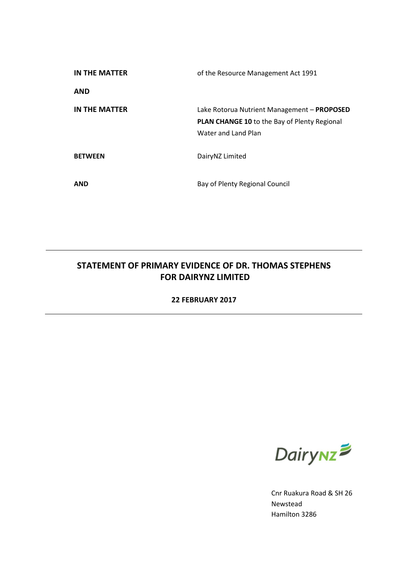| IN THE MATTER        | of the Resource Management Act 1991                 |
|----------------------|-----------------------------------------------------|
| <b>AND</b>           |                                                     |
| <b>IN THE MATTER</b> | Lake Rotorua Nutrient Management - PROPOSED         |
|                      | <b>PLAN CHANGE 10 to the Bay of Plenty Regional</b> |
|                      | Water and Land Plan                                 |
| <b>BETWEEN</b>       | DairyNZ Limited                                     |
| <b>AND</b>           | Bay of Plenty Regional Council                      |

# **STATEMENT OF PRIMARY EVIDENCE OF DR. THOMAS STEPHENS FOR DAIRYNZ LIMITED**

### **22 FEBRUARY 2017**



Cnr Ruakura Road & SH 26 Newstead Hamilton 3286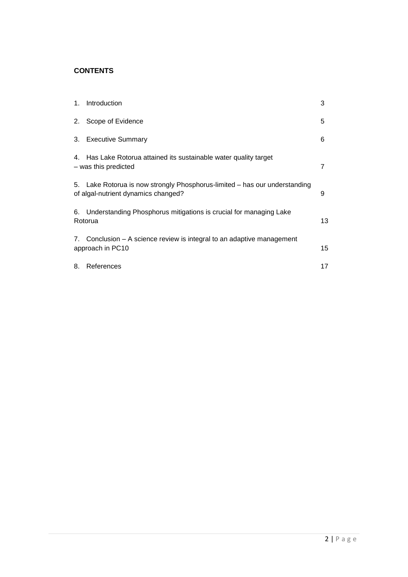### **CONTENTS**

| $1_{\cdot}$ | Introduction                                                                                                      | 3  |
|-------------|-------------------------------------------------------------------------------------------------------------------|----|
|             | 2. Scope of Evidence                                                                                              | 5  |
|             | 3. Executive Summary                                                                                              | 6  |
|             | 4. Has Lake Rotorua attained its sustainable water quality target<br>- was this predicted                         | 7  |
|             | 5. Lake Rotorua is now strongly Phosphorus-limited – has our understanding<br>of algal-nutrient dynamics changed? | 9  |
|             | 6. Understanding Phosphorus mitigations is crucial for managing Lake<br>Rotorua                                   | 13 |
|             | 7. Conclusion – A science review is integral to an adaptive management<br>approach in PC10                        | 15 |
| 8.          | References                                                                                                        | 17 |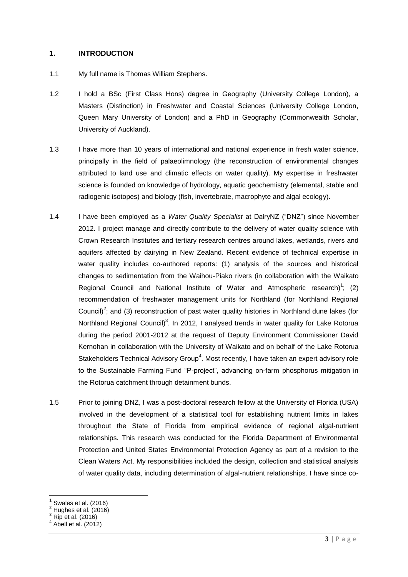#### **1. INTRODUCTION**

- 1.1 My full name is Thomas William Stephens.
- 1.2 I hold a BSc (First Class Hons) degree in Geography (University College London), a Masters (Distinction) in Freshwater and Coastal Sciences (University College London, Queen Mary University of London) and a PhD in Geography (Commonwealth Scholar, University of Auckland).
- 1.3 I have more than 10 years of international and national experience in fresh water science, principally in the field of palaeolimnology (the reconstruction of environmental changes attributed to land use and climatic effects on water quality). My expertise in freshwater science is founded on knowledge of hydrology, aquatic geochemistry (elemental, stable and radiogenic isotopes) and biology (fish, invertebrate, macrophyte and algal ecology).
- 1.4 I have been employed as a *Water Quality Specialist* at DairyNZ ("DNZ") since November 2012. I project manage and directly contribute to the delivery of water quality science with Crown Research Institutes and tertiary research centres around lakes, wetlands, rivers and aquifers affected by dairying in New Zealand. Recent evidence of technical expertise in water quality includes co-authored reports: (1) analysis of the sources and historical changes to sedimentation from the Waihou-Piako rivers (in collaboration with the Waikato Regional Council and National Institute of Water and Atmospheric research)<sup>1</sup>; (2) recommendation of freshwater management units for Northland (for Northland Regional Council)<sup>2</sup>; and (3) reconstruction of past water quality histories in Northland dune lakes (for Northland Regional Council)<sup>3</sup>. In 2012, I analysed trends in water quality for Lake Rotorua during the period 2001-2012 at the request of Deputy Environment Commissioner David Kernohan in collaboration with the University of Waikato and on behalf of the Lake Rotorua Stakeholders Technical Advisory Group<sup>4</sup>. Most recently, I have taken an expert advisory role to the Sustainable Farming Fund "P-project", advancing on-farm phosphorus mitigation in the Rotorua catchment through detainment bunds.
- 1.5 Prior to joining DNZ, I was a post-doctoral research fellow at the University of Florida (USA) involved in the development of a statistical tool for establishing nutrient limits in lakes throughout the State of Florida from empirical evidence of regional algal-nutrient relationships. This research was conducted for the Florida Department of Environmental Protection and United States Environmental Protection Agency as part of a revision to the Clean Waters Act. My responsibilities included the design, collection and statistical analysis of water quality data, including determination of algal-nutrient relationships. I have since co-

<sup>1</sup> Swales et al. (2016)

 $2$  Hughes et al. (2016)

 $^3$  Rip et al. (2016)<br><sup>4</sup> Abell et al. (2011)

Abell et al. (2012)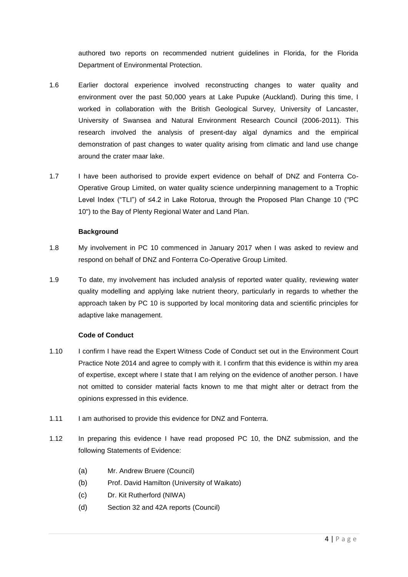authored two reports on recommended nutrient guidelines in Florida, for the Florida Department of Environmental Protection.

- 1.6 Earlier doctoral experience involved reconstructing changes to water quality and environment over the past 50,000 years at Lake Pupuke (Auckland). During this time, I worked in collaboration with the British Geological Survey, University of Lancaster, University of Swansea and Natural Environment Research Council (2006-2011). This research involved the analysis of present-day algal dynamics and the empirical demonstration of past changes to water quality arising from climatic and land use change around the crater maar lake.
- 1.7 I have been authorised to provide expert evidence on behalf of DNZ and Fonterra Co-Operative Group Limited, on water quality science underpinning management to a Trophic Level Index ("TLI") of ≤4.2 in Lake Rotorua, through the Proposed Plan Change 10 ("PC 10") to the Bay of Plenty Regional Water and Land Plan.

#### **Background**

- 1.8 My involvement in PC 10 commenced in January 2017 when I was asked to review and respond on behalf of DNZ and Fonterra Co-Operative Group Limited.
- 1.9 To date, my involvement has included analysis of reported water quality, reviewing water quality modelling and applying lake nutrient theory, particularly in regards to whether the approach taken by PC 10 is supported by local monitoring data and scientific principles for adaptive lake management.

### **Code of Conduct**

- 1.10 I confirm I have read the Expert Witness Code of Conduct set out in the Environment Court Practice Note 2014 and agree to comply with it. I confirm that this evidence is within my area of expertise, except where I state that I am relying on the evidence of another person. I have not omitted to consider material facts known to me that might alter or detract from the opinions expressed in this evidence.
- 1.11 I am authorised to provide this evidence for DNZ and Fonterra.
- 1.12 In preparing this evidence I have read proposed PC 10, the DNZ submission, and the following Statements of Evidence:
	- (a) Mr. Andrew Bruere (Council)
	- (b) Prof. David Hamilton (University of Waikato)
	- (c) Dr. Kit Rutherford (NIWA)
	- (d) Section 32 and 42A reports (Council)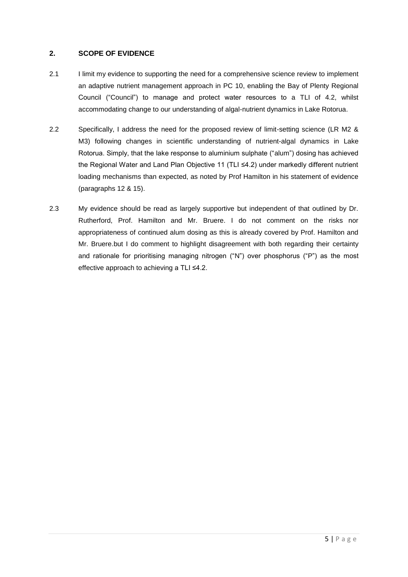## **2. SCOPE OF EVIDENCE**

- 2.1 I limit my evidence to supporting the need for a comprehensive science review to implement an adaptive nutrient management approach in PC 10, enabling the Bay of Plenty Regional Council ("Council") to manage and protect water resources to a TLI of 4.2, whilst accommodating change to our understanding of algal-nutrient dynamics in Lake Rotorua.
- 2.2 Specifically, I address the need for the proposed review of limit-setting science (LR M2 & M3) following changes in scientific understanding of nutrient-algal dynamics in Lake Rotorua. Simply, that the lake response to aluminium sulphate ("alum") dosing has achieved the Regional Water and Land Plan Objective 11 (TLI ≤4.2) under markedly different nutrient loading mechanisms than expected, as noted by Prof Hamilton in his statement of evidence (paragraphs 12 & 15).
- 2.3 My evidence should be read as largely supportive but independent of that outlined by Dr. Rutherford, Prof. Hamilton and Mr. Bruere. I do not comment on the risks nor appropriateness of continued alum dosing as this is already covered by Prof. Hamilton and Mr. Bruere.but I do comment to highlight disagreement with both regarding their certainty and rationale for prioritising managing nitrogen ("N") over phosphorus ("P") as the most effective approach to achieving a TLI ≤4.2.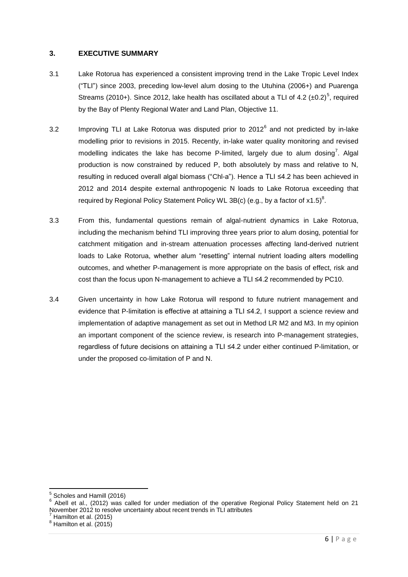### **3. EXECUTIVE SUMMARY**

- 3.1 Lake Rotorua has experienced a consistent improving trend in the Lake Tropic Level Index ("TLI") since 2003, preceding low-level alum dosing to the Utuhina (2006+) and Puarenga Streams (2010+). Since 2012, lake health has oscillated about a TLI of 4.2  $(\pm 0.2)^5$ , required by the Bay of Plenty Regional Water and Land Plan, Objective 11.
- 3.2 Improving TLI at Lake Rotorua was disputed prior to  $2012^6$  and not predicted by in-lake modelling prior to revisions in 2015. Recently, in-lake water quality monitoring and revised modelling indicates the lake has become P-limited, largely due to alum dosing<sup>7</sup>. Algal production is now constrained by reduced P, both absolutely by mass and relative to N, resulting in reduced overall algal biomass ("Chl-a"). Hence a TLI ≤4.2 has been achieved in 2012 and 2014 despite external anthropogenic N loads to Lake Rotorua exceeding that required by Regional Policy Statement Policy WL 3B(c) (e.g., by a factor of  $x1.5$ )<sup>8</sup>.
- 3.3 From this, fundamental questions remain of algal-nutrient dynamics in Lake Rotorua, including the mechanism behind TLI improving three years prior to alum dosing, potential for catchment mitigation and in-stream attenuation processes affecting land-derived nutrient loads to Lake Rotorua, whether alum "resetting" internal nutrient loading alters modelling outcomes, and whether P-management is more appropriate on the basis of effect, risk and cost than the focus upon N-management to achieve a TLI ≤4.2 recommended by PC10.
- 3.4 Given uncertainty in how Lake Rotorua will respond to future nutrient management and evidence that P-limitation is effective at attaining a TLI ≤4.2, I support a science review and implementation of adaptive management as set out in Method LR M2 and M3. In my opinion an important component of the science review, is research into P-management strategies, regardless of future decisions on attaining a TLI ≤4.2 under either continued P-limitation, or under the proposed co-limitation of P and N.

 5 Scholes and Hamill (2016)

 $6$  Abell et al., (2012) was called for under mediation of the operative Regional Policy Statement held on 21 November 2012 to resolve uncertainty about recent trends in TLI attributes

Hamilton et al. (2015)

 $8$  Hamilton et al. (2015)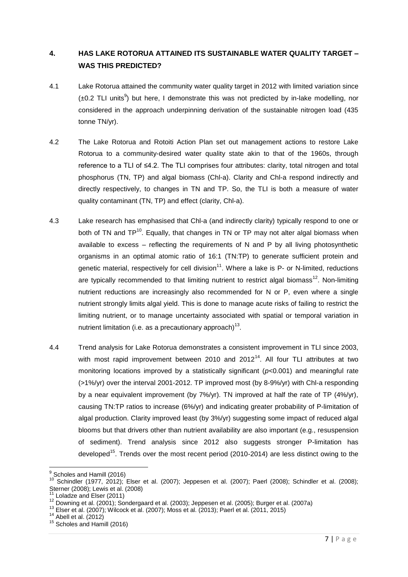# **4. HAS LAKE ROTORUA ATTAINED ITS SUSTAINABLE WATER QUALITY TARGET – WAS THIS PREDICTED?**

- 4.1 Lake Rotorua attained the community water quality target in 2012 with limited variation since  $(\pm 0.2$  TLI units<sup>9</sup>) but here, I demonstrate this was not predicted by in-lake modelling, nor considered in the approach underpinning derivation of the sustainable nitrogen load (435 tonne TN/yr).
- 4.2 The Lake Rotorua and Rotoiti Action Plan set out management actions to restore Lake Rotorua to a community-desired water quality state akin to that of the 1960s, through reference to a TLI of ≤4.2. The TLI comprises four attributes: clarity, total nitrogen and total phosphorus (TN, TP) and algal biomass (Chl-a). Clarity and Chl-a respond indirectly and directly respectively, to changes in TN and TP. So, the TLI is both a measure of water quality contaminant (TN, TP) and effect (clarity, Chl-a).
- 4.3 Lake research has emphasised that Chl-a (and indirectly clarity) typically respond to one or both of TN and  $TP^{10}$ . Equally, that changes in TN or TP may not alter algal biomass when available to excess – reflecting the requirements of N and P by all living photosynthetic organisms in an optimal atomic ratio of 16:1 (TN:TP) to generate sufficient protein and genetic material, respectively for cell division<sup>11</sup>. Where a lake is P- or N-limited, reductions are typically recommended to that limiting nutrient to restrict algal biomass<sup>12</sup>. Non-limiting nutrient reductions are increasingly also recommended for N or P, even where a single nutrient strongly limits algal yield. This is done to manage acute risks of failing to restrict the limiting nutrient, or to manage uncertainty associated with spatial or temporal variation in nutrient limitation (i.e. as a precautionary approach) $^{13}$ .
- 4.4 Trend analysis for Lake Rotorua demonstrates a consistent improvement in TLI since 2003, with most rapid improvement between 2010 and  $2012^{14}$ . All four TLI attributes at two monitoring locations improved by a statistically significant (*p*<0.001) and meaningful rate (>1%/yr) over the interval 2001-2012. TP improved most (by 8-9%/yr) with Chl-a responding by a near equivalent improvement (by 7%/yr). TN improved at half the rate of TP (4%/yr), causing TN:TP ratios to increase (6%/yr) and indicating greater probability of P-limitation of algal production. Clarity improved least (by 3%/yr) suggesting some impact of reduced algal blooms but that drivers other than nutrient availability are also important (e.g., resuspension of sediment). Trend analysis since 2012 also suggests stronger P-limitation has developed<sup>15</sup>. Trends over the most recent period (2010-2014) are less distinct owing to the

 9 Scholes and Hamill (2016)

<sup>&</sup>lt;sup>10</sup> Schindler (1977, 2012); Elser et al. (2007); Jeppesen et al. (2007); Paerl (2008); Schindler et al. (2008); Sterner (2008); Lewis et al. (2008)

 $11$  Loladze and Elser (2011)

 $12$  Downing et al. (2001); Sondergaard et al. (2003); Jeppesen et al. (2005); Burger et al. (2007a) Loiauze and Elser (2011)<br><sup>12</sup> Downing et al. (2001); Sondergaard et al. (2003); Jeppesen et al. (2005); Burger et al. (2007a)<br><sup>13</sup> Elser et al. (2007); Wilcock et al. (2007); Moss et al. (2013); Paerl et al. (2011, 2015)

 $14$  Abell et al. (2012)

<sup>15</sup> Scholes and Hamill (2016)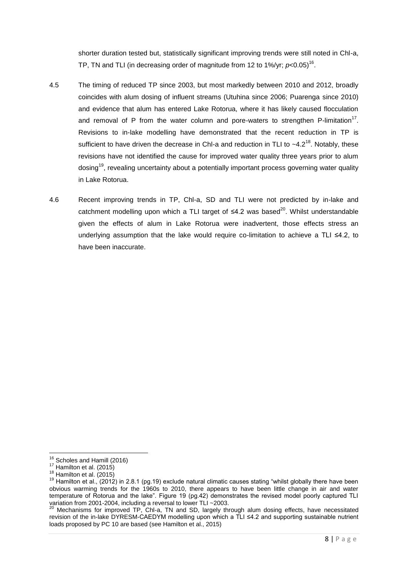shorter duration tested but, statistically significant improving trends were still noted in Chl-a, TP, TN and TLI (in decreasing order of magnitude from 12 to 1%/yr;  $p<$  0.05)<sup>16</sup>.

- 4.5 The timing of reduced TP since 2003, but most markedly between 2010 and 2012, broadly coincides with alum dosing of influent streams (Utuhina since 2006; Puarenga since 2010) and evidence that alum has entered Lake Rotorua, where it has likely caused flocculation and removal of P from the water column and pore-waters to strengthen P-limitation<sup>17</sup>. Revisions to in-lake modelling have demonstrated that the recent reduction in TP is sufficient to have driven the decrease in ChI-a and reduction in TLI to  $\sim$ 4.2<sup>18</sup>. Notably, these revisions have not identified the cause for improved water quality three years prior to alum dosing<sup>19</sup>, revealing uncertainty about a potentially important process governing water quality in Lake Rotorua.
- 4.6 Recent improving trends in TP, Chl-a, SD and TLI were not predicted by in-lake and catchment modelling upon which a TLI target of  $\leq 4.2$  was based<sup>20</sup>. Whilst understandable given the effects of alum in Lake Rotorua were inadvertent, those effects stress an underlying assumption that the lake would require co-limitation to achieve a TLI ≤4.2, to have been inaccurate.

 $\overline{a}$ 

<sup>&</sup>lt;sup>16</sup> Scholes and Hamill (2016)

<sup>17</sup> Hamilton et al. (2015)

 $18$  Hamilton et al. (2015)

 $19$  Hamilton et al., (2012) in 2.8.1 (pg.19) exclude natural climatic causes stating "whilst globally there have been obvious warming trends for the 1960s to 2010, there appears to have been little change in air and water temperature of Rotorua and the lake". Figure 19 (pg.42) demonstrates the revised model poorly captured TLI variation from 2001-2004, including a reversal to lower TLI ~2003.

 $20$  Mechanisms for improved TP, ChI-a, TN and SD, largely through alum dosing effects, have necessitated revision of the in-lake DYRESM-CAEDYM modelling upon which a TLI ≤4.2 and supporting sustainable nutrient loads proposed by PC 10 are based (see Hamilton et al., 2015)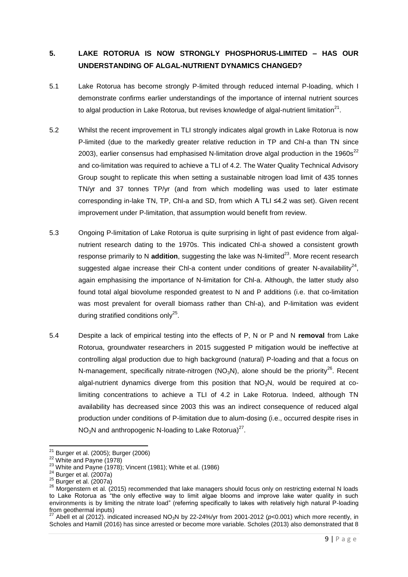# **5. LAKE ROTORUA IS NOW STRONGLY PHOSPHORUS-LIMITED – HAS OUR UNDERSTANDING OF ALGAL-NUTRIENT DYNAMICS CHANGED?**

- 5.1 Lake Rotorua has become strongly P-limited through reduced internal P-loading, which I demonstrate confirms earlier understandings of the importance of internal nutrient sources to algal production in Lake Rotorua, but revises knowledge of algal-nutrient limitation $^{21}$ .
- 5.2 Whilst the recent improvement in TLI strongly indicates algal growth in Lake Rotorua is now P-limited (due to the markedly greater relative reduction in TP and Chl-a than TN since 2003), earlier consensus had emphasised N-limitation drove algal production in the 1960s<sup>22</sup> and co-limitation was required to achieve a TLI of 4.2. The Water Quality Technical Advisory Group sought to replicate this when setting a sustainable nitrogen load limit of 435 tonnes TN/yr and 37 tonnes TP/yr (and from which modelling was used to later estimate corresponding in-lake TN, TP, Chl-a and SD, from which A TLI ≤4.2 was set). Given recent improvement under P-limitation, that assumption would benefit from review.
- 5.3 Ongoing P-limitation of Lake Rotorua is quite surprising in light of past evidence from algalnutrient research dating to the 1970s. This indicated Chl-a showed a consistent growth response primarily to N addition, suggesting the lake was N-limited<sup>23</sup>. More recent research suggested algae increase their ChI-a content under conditions of greater N-availability<sup>24</sup>, again emphasising the importance of N-limitation for Chl-a. Although, the latter study also found total algal biovolume responded greatest to N and P additions (i.e. that co-limitation was most prevalent for overall biomass rather than Chl-a), and P-limitation was evident during stratified conditions only<sup>25</sup>.
- 5.4 Despite a lack of empirical testing into the effects of P, N or P and N **removal** from Lake Rotorua, groundwater researchers in 2015 suggested P mitigation would be ineffective at controlling algal production due to high background (natural) P-loading and that a focus on N-management, specifically nitrate-nitrogen (NO<sub>3</sub>N), alone should be the priority<sup>26</sup>. Recent algal-nutrient dynamics diverge from this position that  $NO<sub>3</sub>N$ , would be required at colimiting concentrations to achieve a TLI of 4.2 in Lake Rotorua. Indeed, although TN availability has decreased since 2003 this was an indirect consequence of reduced algal production under conditions of P-limitation due to alum-dosing (i.e., occurred despite rises in  $NO<sub>3</sub>N$  and anthropogenic N-loading to Lake Rotorua)<sup>27</sup>.

 $\overline{a}$  $21$  Burger et al. (2005); Burger (2006)

 $22$  White and Payne  $(1978)$ 

 $23$  White and Payne (1978); Vincent (1981); White et al. (1986)

 $24$  Burger et al. (2007a)

 $25$  Burger et al. (2007a)

 $26$  Morgenstern et al. (2015) recommended that lake managers should focus only on restricting external N loads to Lake Rotorua as "the only effective way to limit algae blooms and improve lake water quality in such environments is by limiting the nitrate load" (referring specifically to lakes with relatively high natural P-loading from geothermal inputs)

<sup>27</sup> Abell et al (2012). indicated increased NO3N by 22-24%/yr from 2001-2012 (*p*<0.001) which more recently, in Scholes and Hamill (2016) has since arrested or become more variable. Scholes (2013) also demonstrated that 8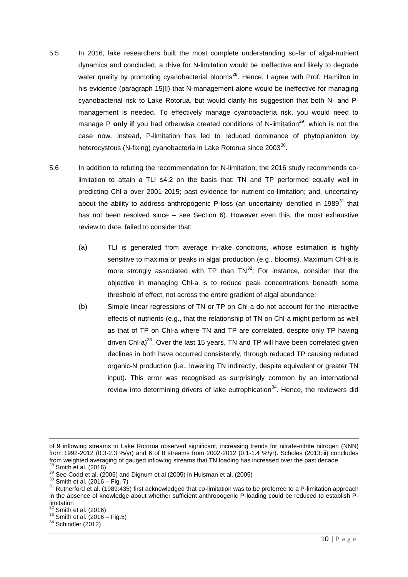- 5.5 In 2016, lake researchers built the most complete understanding so-far of algal-nutrient dynamics and concluded, a drive for N-limitation would be ineffective and likely to degrade water quality by promoting cyanobacterial blooms<sup>28</sup>. Hence, I agree with Prof. Hamilton in his evidence (paragraph 15[l]) that N-management alone would be ineffective for managing cyanobacterial risk to Lake Rotorua, but would clarify his suggestion that both N- and Pmanagement is needed. To effectively manage cyanobacteria risk, you would need to manage P **only if** you had otherwise created conditions of N-limitation<sup>29</sup>, which is not the case now. Instead, P-limitation has led to reduced dominance of phytoplankton by heterocystous (N-fixing) cyanobacteria in Lake Rotorua since 2003 $^{\rm 30}$ .
- 5.6 In addition to refuting the recommendation for N-limitation, the 2016 study recommends colimitation to attain a TLI ≤4.2 on the basis that: TN and TP performed equally well in predicting Chl-a over 2001-2015; past evidence for nutrient co-limitation; and, uncertainty about the ability to address anthropogenic P-loss (an uncertainty identified in 1989 $^{31}$  that has not been resolved since – see Section 6). However even this, the most exhaustive review to date, failed to consider that:
	- (a) TLI is generated from average in-lake conditions, whose estimation is highly sensitive to maxima or peaks in algal production (e.g., blooms). Maximum Chl-a is more strongly associated with TP than  $TN^{32}$ . For instance, consider that the objective in managing Chl-a is to reduce peak concentrations beneath some threshold of effect, not across the entire gradient of algal abundance;
	- (b) Simple linear regressions of TN or TP on Chl-a do not account for the interactive effects of nutrients (e.g., that the relationship of TN on Chl-a might perform as well as that of TP on Chl-a where TN and TP are correlated, despite only TP having driven Chl-a) $^{33}$ . Over the last 15 years, TN and TP will have been correlated given declines in both have occurred consistently, through reduced TP causing reduced organic-N production (i.e., lowering TN indirectly, despite equivalent or greater TN input). This error was recognised as surprisingly common by an international review into determining drivers of lake eutrophication<sup>34</sup>. Hence, the reviewers did

of 9 inflowing streams to Lake Rotorua observed significant, increasing trends for nitrate-nitrite nitrogen (NNN) from 1992-2012 (0.3-2.3 %/yr) and 6 of 8 streams from 2002-2012 (0.1-1.4 %/yr). Scholes (2013:iii) concludes from weighted averaging of gauged inflowing streams that TN loading has increased over the past decade

 $28$  Smith et al. (2016)

 $^{29}$  See Codd et al. (2005) and Dignum et al (2005) in Huisman et al. (2005)

<sup>30</sup> Smith et al. (2016 – Fig. 7)

<sup>31</sup> Rutherford et al. (1989:435) first acknowledged that co-limitation was to be preferred to a P-limitation approach in the absence of knowledge about whether sufficient anthropogenic P-loading could be reduced to establish Plimitation

 $<sup>2</sup>$  Smith et al. (2016)</sup>

 $33$  Smith et al. (2016 – Fig.5)

 $34$  Schindler (2012)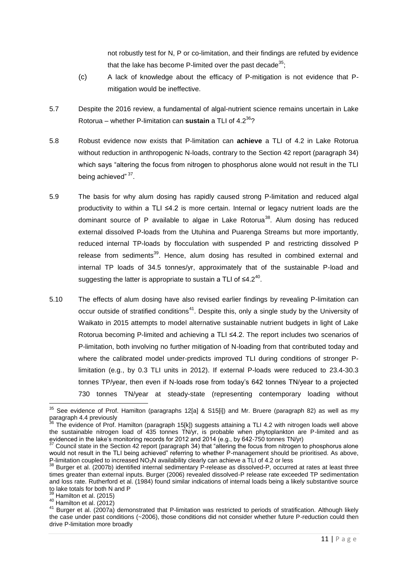not robustly test for N, P or co-limitation, and their findings are refuted by evidence that the lake has become P-limited over the past decade<sup>35</sup>:

- (c) A lack of knowledge about the efficacy of P-mitigation is not evidence that Pmitigation would be ineffective.
- 5.7 Despite the 2016 review, a fundamental of algal-nutrient science remains uncertain in Lake Rotorua – whether P-limitation can **sustain** a TLI of 4.2<sup>36</sup>?
- 5.8 Robust evidence now exists that P-limitation can **achieve** a TLI of 4.2 in Lake Rotorua without reduction in anthropogenic N-loads, contrary to the Section 42 report (paragraph 34) which says "altering the focus from nitrogen to phosphorus alone would not result in the TLI being achieved" <sup>37</sup>.
- 5.9 The basis for why alum dosing has rapidly caused strong P-limitation and reduced algal productivity to within a TLI ≤4.2 is more certain. Internal or legacy nutrient loads are the dominant source of P available to algae in Lake Rotorua<sup>38</sup>. Alum dosing has reduced external dissolved P-loads from the Utuhina and Puarenga Streams but more importantly, reduced internal TP-loads by flocculation with suspended P and restricting dissolved P release from sediments<sup>39</sup>. Hence, alum dosing has resulted in combined external and internal TP loads of 34.5 tonnes/yr, approximately that of the sustainable P-load and suggesting the latter is appropriate to sustain a TLI of ≤4.2<sup>40</sup>.
- 5.10 The effects of alum dosing have also revised earlier findings by revealing P-limitation can occur outside of stratified conditions<sup>41</sup>. Despite this, only a single study by the University of Waikato in 2015 attempts to model alternative sustainable nutrient budgets in light of Lake Rotorua becoming P-limited and achieving a TLI ≤4.2. The report includes two scenarios of P-limitation, both involving no further mitigation of N-loading from that contributed today and where the calibrated model under-predicts improved TLI during conditions of stronger Plimitation (e.g., by 0.3 TLI units in 2012). If external P-loads were reduced to 23.4-30.3 tonnes TP/year, then even if N-loads rose from today's 642 tonnes TN/year to a projected 730 tonnes TN/year at steady-state (representing contemporary loading without

 $35$  See evidence of Prof. Hamilton (paragraphs 12[a] & S15[i]) and Mr. Bruere (paragraph 82) as well as my paragraph 4.4 previously

 $36$  The evidence of Prof. Hamilton (paragraph 15[k]) suggests attaining a TLI 4.2 with nitrogen loads well above the sustainable nitrogen load of 435 tonnes TN/yr, is probable when phytoplankton are P-limited and as evidenced in the lake's monitoring records for 2012 and 2014 (e.g., by 642-750 tonnes TN/yr)

 $37$  Council state in the Section 42 report (paragraph 34) that "altering the focus from nitrogen to phosphorus alone would not result in the TLI being achieved" referring to whether P-management should be prioritised. As above, P-limitation coupled to increased  $NO<sub>3</sub>N$  availability clearly can achieve a TLI of 4.2 or less

 $38$  Burger et al. (2007b) identified internal sedimentary P-release as dissolved-P, occurred at rates at least three times greater than external inputs. Burger (2006) revealed dissolved-P release rate exceeded TP sedimentation and loss rate. Rutherford et al. (1984) found similar indications of internal loads being a likely substantive source to lake totals for both N and P

 $39$  Hamilton et al. (2015)

<sup>40</sup> Hamilton et al. (2012)

<sup>41</sup> Burger et al. (2007a) demonstrated that P-limitation was restricted to periods of stratification. Although likely the case under past conditions (~2006), those conditions did not consider whether future P-reduction could then drive P-limitation more broadly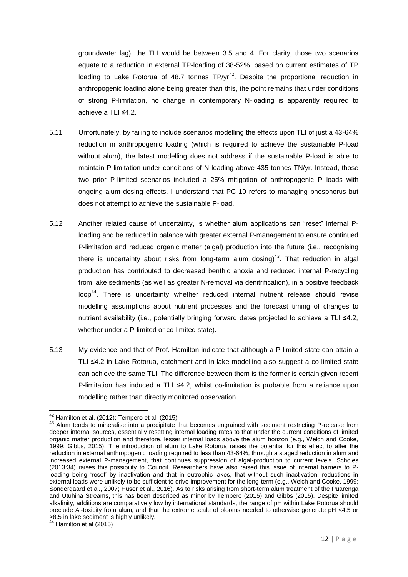groundwater lag), the TLI would be between 3.5 and 4. For clarity, those two scenarios equate to a reduction in external TP-loading of 38-52%, based on current estimates of TP loading to Lake Rotorua of 48.7 tonnes  $TP/yr^{42}$ . Despite the proportional reduction in anthropogenic loading alone being greater than this, the point remains that under conditions of strong P-limitation, no change in contemporary N-loading is apparently required to achieve a TLI ≤4.2.

- 5.11 Unfortunately, by failing to include scenarios modelling the effects upon TLI of just a 43-64% reduction in anthropogenic loading (which is required to achieve the sustainable P-load without alum), the latest modelling does not address if the sustainable P-load is able to maintain P-limitation under conditions of N-loading above 435 tonnes TN/yr. Instead, those two prior P-limited scenarios included a 25% mitigation of anthropogenic P loads with ongoing alum dosing effects. I understand that PC 10 refers to managing phosphorus but does not attempt to achieve the sustainable P-load.
- 5.12 Another related cause of uncertainty, is whether alum applications can "reset" internal Ploading and be reduced in balance with greater external P-management to ensure continued P-limitation and reduced organic matter (algal) production into the future (i.e., recognising there is uncertainty about risks from long-term alum dosing)<sup>43</sup>. That reduction in algal production has contributed to decreased benthic anoxia and reduced internal P-recycling from lake sediments (as well as greater N-removal via denitrification), in a positive feedback loop<sup>44</sup>. There is uncertainty whether reduced internal nutrient release should revise modelling assumptions about nutrient processes and the forecast timing of changes to nutrient availability (i.e., potentially bringing forward dates projected to achieve a TLI ≤4.2, whether under a P-limited or co-limited state).
- 5.13 My evidence and that of Prof. Hamilton indicate that although a P-limited state can attain a TLI ≤4.2 in Lake Rotorua, catchment and in-lake modelling also suggest a co-limited state can achieve the same TLI. The difference between them is the former is certain given recent P-limitation has induced a TLI ≤4.2, whilst co-limitation is probable from a reliance upon modelling rather than directly monitored observation.

 $\overline{a}$  $42$  Hamilton et al. (2012); Tempero et al. (2015)

<sup>43</sup> Alum tends to mineralise into a precipitate that becomes engrained with sediment restricting P-release from deeper internal sources, essentially resetting internal loading rates to that under the current conditions of limited organic matter production and therefore, lesser internal loads above the alum horizon (e.g., Welch and Cooke, 1999; Gibbs, 2015). The introduction of alum to Lake Rotorua raises the potential for this effect to alter the reduction in external anthropogenic loading required to less than 43-64%, through a staged reduction in alum and increased external P-management, that continues suppression of algal-production to current levels. Scholes (2013:34) raises this possibility to Council. Researchers have also raised this issue of internal barriers to Ploading being 'reset' by inactivation and that in eutrophic lakes, that without such inactivation, reductions in external loads were unlikely to be sufficient to drive improvement for the long-term (e.g., Welch and Cooke, 1999; Sondergaard et al., 2007; Huser et al., 2016). As to risks arising from short-term alum treatment of the Puarenga and Utuhina Streams, this has been described as minor by Tempero (2015) and Gibbs (2015). Despite limited alkalinity, additions are comparatively low by international standards, the range of pH within Lake Rotorua should preclude Al-toxicity from alum, and that the extreme scale of blooms needed to otherwise generate pH <4.5 or >8.5 in lake sediment is highly unlikely.

 $4$  Hamilton et al (2015)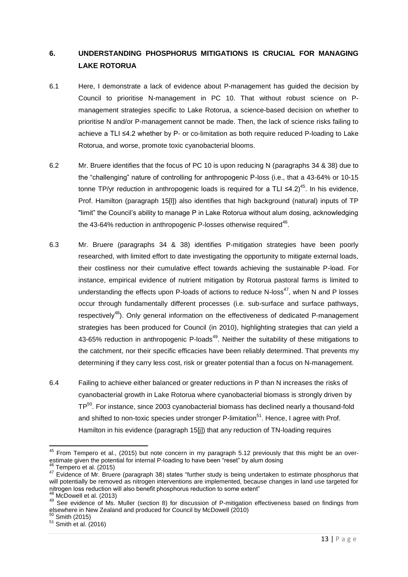# **6. UNDERSTANDING PHOSPHORUS MITIGATIONS IS CRUCIAL FOR MANAGING LAKE ROTORUA**

- 6.1 Here, I demonstrate a lack of evidence about P-management has guided the decision by Council to prioritise N-management in PC 10. That without robust science on Pmanagement strategies specific to Lake Rotorua, a science-based decision on whether to prioritise N and/or P-management cannot be made. Then, the lack of science risks failing to achieve a TLI ≤4.2 whether by P- or co-limitation as both require reduced P-loading to Lake Rotorua, and worse, promote toxic cyanobacterial blooms.
- 6.2 Mr. Bruere identifies that the focus of PC 10 is upon reducing N (paragraphs 34 & 38) due to the "challenging" nature of controlling for anthropogenic P-loss (i.e., that a 43-64% or 10-15 tonne TP/yr reduction in anthropogenic loads is required for a TLI ≤4.2)<sup>45</sup>. In his evidence, Prof. Hamilton (paragraph 15[l]) also identifies that high background (natural) inputs of TP "limit" the Council's ability to manage P in Lake Rotorua without alum dosing, acknowledging the 43-64% reduction in anthropogenic P-losses otherwise required<sup>46</sup>.
- 6.3 Mr. Bruere (paragraphs 34 & 38) identifies P-mitigation strategies have been poorly researched, with limited effort to date investigating the opportunity to mitigate external loads, their costliness nor their cumulative effect towards achieving the sustainable P-load. For instance, empirical evidence of nutrient mitigation by Rotorua pastoral farms is limited to understanding the effects upon P-loads of actions to reduce N-loss<sup>47</sup>, when N and P losses occur through fundamentally different processes (i.e. sub-surface and surface pathways, respectively<sup>48</sup>). Only general information on the effectiveness of dedicated P-management strategies has been produced for Council (in 2010), highlighting strategies that can yield a 43-65% reduction in anthropogenic P-loads<sup>49</sup>. Neither the suitability of these mitigations to the catchment, nor their specific efficacies have been reliably determined. That prevents my determining if they carry less cost, risk or greater potential than a focus on N-management.
- 6.4 Failing to achieve either balanced or greater reductions in P than N increases the risks of cyanobacterial growth in Lake Rotorua where cyanobacterial biomass is strongly driven by  $TP<sup>50</sup>$ . For instance, since 2003 cyanobacterial biomass has declined nearly a thousand-fold and shifted to non-toxic species under stronger P-limitation<sup>51</sup>. Hence, I agree with Prof. Hamilton in his evidence (paragraph 15[j]) that any reduction of TN-loading requires

 $\overline{a}$  $45$  From Tempero et al., (2015) but note concern in my paragraph 5.12 previously that this might be an overestimate given the potential for internal P-loading to have been "reset" by alum dosing Tempero et al. (2015)

<sup>47</sup> Evidence of Mr. Bruere (paragraph 38) states "further study is being undertaken to estimate phosphorus that will potentially be removed as nitrogen interventions are implemented, because changes in land use targeted for nitrogen loss reduction will also benefit phosphorus reduction to some extent"

 $48$  McDowell et al. (2013)

<sup>49</sup> See evidence of Ms. Muller (section 8) for discussion of P-mitigation effectiveness based on findings from elsewhere in New Zealand and produced for Council by McDowell (2010)

 $50$  Smith (2015)

 $51$  Smith et al. (2016)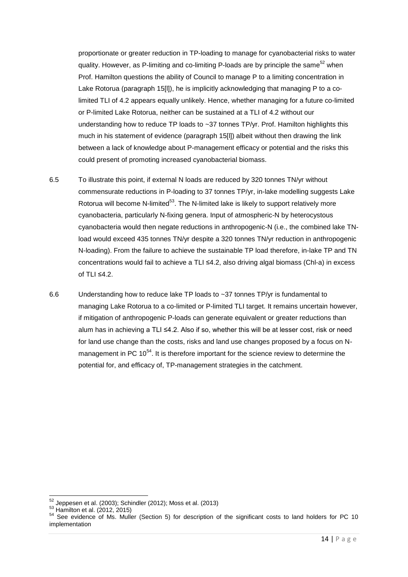proportionate or greater reduction in TP-loading to manage for cyanobacterial risks to water quality. However, as P-limiting and co-limiting P-loads are by principle the same<sup>52</sup> when Prof. Hamilton questions the ability of Council to manage P to a limiting concentration in Lake Rotorua (paragraph 15[l]), he is implicitly acknowledging that managing P to a colimited TLI of 4.2 appears equally unlikely. Hence, whether managing for a future co-limited or P-limited Lake Rotorua, neither can be sustained at a TLI of 4.2 without our understanding how to reduce TP loads to ~37 tonnes TP/yr. Prof. Hamilton highlights this much in his statement of evidence (paragraph 15[l]) albeit without then drawing the link between a lack of knowledge about P-management efficacy or potential and the risks this could present of promoting increased cyanobacterial biomass.

- 6.5 To illustrate this point, if external N loads are reduced by 320 tonnes TN/yr without commensurate reductions in P-loading to 37 tonnes TP/yr, in-lake modelling suggests Lake Rotorua will become N-limited<sup>53</sup>. The N-limited lake is likely to support relatively more cyanobacteria, particularly N-fixing genera. Input of atmospheric-N by heterocystous cyanobacteria would then negate reductions in anthropogenic-N (i.e., the combined lake TNload would exceed 435 tonnes TN/yr despite a 320 tonnes TN/yr reduction in anthropogenic N-loading). From the failure to achieve the sustainable TP load therefore, in-lake TP and TN concentrations would fail to achieve a TLI ≤4.2, also driving algal biomass (Chl-a) in excess of TLI ≤4.2.
- 6.6 Understanding how to reduce lake TP loads to ~37 tonnes TP/yr is fundamental to managing Lake Rotorua to a co-limited or P-limited TLI target. It remains uncertain however, if mitigation of anthropogenic P-loads can generate equivalent or greater reductions than alum has in achieving a TLI ≤4.2. Also if so, whether this will be at lesser cost, risk or need for land use change than the costs, risks and land use changes proposed by a focus on Nmanagement in PC  $10^{54}$ . It is therefore important for the science review to determine the potential for, and efficacy of, TP-management strategies in the catchment.

 $52$  Jeppesen et al. (2003); Schindler (2012); Moss et al. (2013)

<sup>53</sup> Hamilton et al. (2012, 2015)

<sup>54</sup> See evidence of Ms. Muller (Section 5) for description of the significant costs to land holders for PC 10 implementation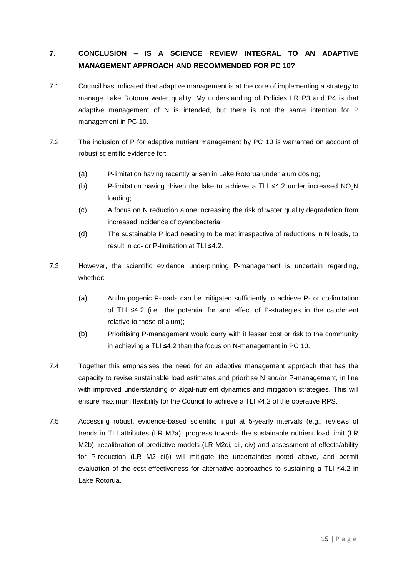# **7. CONCLUSION – IS A SCIENCE REVIEW INTEGRAL TO AN ADAPTIVE MANAGEMENT APPROACH AND RECOMMENDED FOR PC 10?**

- 7.1 Council has indicated that adaptive management is at the core of implementing a strategy to manage Lake Rotorua water quality. My understanding of Policies LR P3 and P4 is that adaptive management of N is intended, but there is not the same intention for P management in PC 10.
- 7.2 The inclusion of P for adaptive nutrient management by PC 10 is warranted on account of robust scientific evidence for:
	- (a) P-limitation having recently arisen in Lake Rotorua under alum dosing;
	- (b) P-limitation having driven the lake to achieve a TLI  $\leq$ 4.2 under increased NO<sub>3</sub>N loading;
	- (c) A focus on N reduction alone increasing the risk of water quality degradation from increased incidence of cyanobacteria;
	- (d) The sustainable P load needing to be met irrespective of reductions in N loads, to result in co- or P-limitation at TLI ≤4.2.
- 7.3 However, the scientific evidence underpinning P-management is uncertain regarding, whether:
	- (a) Anthropogenic P-loads can be mitigated sufficiently to achieve P- or co-limitation of TLI ≤4.2 (i.e., the potential for and effect of P-strategies in the catchment relative to those of alum);
	- (b) Prioritising P-management would carry with it lesser cost or risk to the community in achieving a TLI ≤4.2 than the focus on N-management in PC 10.
- 7.4 Together this emphasises the need for an adaptive management approach that has the capacity to revise sustainable load estimates and prioritise N and/or P-management, in line with improved understanding of algal-nutrient dynamics and mitigation strategies. This will ensure maximum flexibility for the Council to achieve a TLI ≤4.2 of the operative RPS.
- 7.5 Accessing robust, evidence-based scientific input at 5-yearly intervals (e.g., reviews of trends in TLI attributes (LR M2a), progress towards the sustainable nutrient load limit (LR M2b), recalibration of predictive models (LR M2ci, cii, civ) and assessment of effects/ability for P-reduction (LR M2 cii)) will mitigate the uncertainties noted above, and permit evaluation of the cost-effectiveness for alternative approaches to sustaining a TLI ≤4.2 in Lake Rotorua.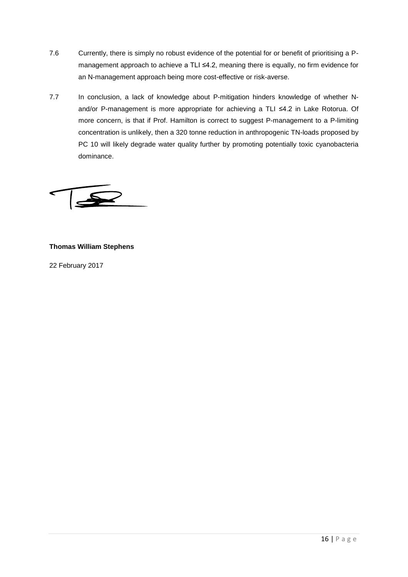- 7.6 Currently, there is simply no robust evidence of the potential for or benefit of prioritising a Pmanagement approach to achieve a TLI ≤4.2, meaning there is equally, no firm evidence for an N-management approach being more cost-effective or risk-averse.
- 7.7 In conclusion, a lack of knowledge about P-mitigation hinders knowledge of whether Nand/or P-management is more appropriate for achieving a TLI ≤4.2 in Lake Rotorua. Of more concern, is that if Prof. Hamilton is correct to suggest P-management to a P-limiting concentration is unlikely, then a 320 tonne reduction in anthropogenic TN-loads proposed by PC 10 will likely degrade water quality further by promoting potentially toxic cyanobacteria dominance.

### **Thomas William Stephens**

22 February 2017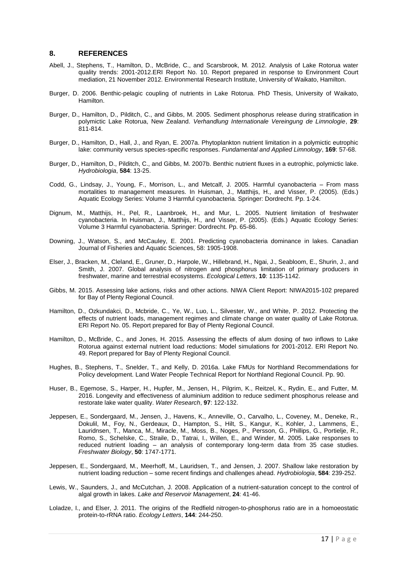#### **8. REFERENCES**

- Abell, J., Stephens, T., Hamilton, D., McBride, C., and Scarsbrook, M. 2012. Analysis of Lake Rotorua water quality trends: 2001-2012.ERI Report No. 10. Report prepared in response to Environment Court mediation, 21 November 2012. Environmental Research Institute, University of Waikato, Hamilton.
- Burger, D. 2006. Benthic-pelagic coupling of nutrients in Lake Rotorua. PhD Thesis, University of Waikato, Hamilton.
- Burger, D., Hamilton, D., Pilditch, C., and Gibbs, M. 2005. Sediment phosphorus release during stratification in polymictic Lake Rotorua, New Zealand. *Verhandlung Internationale Vereingung de Limnologie*, **29**: 811-814.
- Burger, D., Hamilton, D., Hall, J., and Ryan, E. 2007a. Phytoplankton nutrient limitation in a polymictic eutrophic lake: community versus species-specific responses. *Fundamental and Applied Limnology*, **169**: 57-68.
- Burger, D., Hamilton, D., Pilditch, C., and Gibbs, M. 2007b. Benthic nutrient fluxes in a eutrophic, polymictic lake. *Hydrobiologia*, **584**: 13-25.
- Codd, G., Lindsay, J., Young, F., Morrison, L., and Metcalf, J. 2005. Harmful cyanobacteria From mass mortalities to management measures. In Huisman, J., Matthijs, H., and Visser, P. (2005). (Eds.) Aquatic Ecology Series: Volume 3 Harmful cyanobacteria. Springer: Dordrecht. Pp. 1-24.
- Dignum, M., Matthijs, H., Pel, R., Laanbroek, H., and Mur, L. 2005. Nutrient limitation of freshwater cyanobacteria. In Huisman, J., Matthijs, H., and Visser, P. (2005). (Eds.) Aquatic Ecology Series: Volume 3 Harmful cyanobacteria. Springer: Dordrecht. Pp. 65-86.
- Downing, J., Watson, S., and McCauley, E. 2001. Predicting cyanobacteria dominance in lakes. Canadian Journal of Fisheries and Aquatic Sciences, 58: 1905-1908.
- Elser, J., Bracken, M., Cleland, E., Gruner, D., Harpole, W., Hillebrand, H., Ngai, J., Seabloom, E., Shurin, J., and Smith, J. 2007. Global analysis of nitrogen and phosphorus limitation of primary producers in freshwater, marine and terrestrial ecosystems. *Ecological Letters*, **10**: 1135-1142.
- Gibbs, M. 2015. Assessing lake actions, risks and other actions. NIWA Client Report: NIWA2015-102 prepared for Bay of Plenty Regional Council.
- Hamilton, D., Ozkundakci, D., Mcbride, C., Ye, W., Luo, L., Silvester, W., and White, P. 2012. Protecting the effects of nutrient loads, management regimes and climate change on water quality of Lake Rotorua. ERI Report No. 05. Report prepared for Bay of Plenty Regional Council.
- Hamilton, D., McBride, C., and Jones, H. 2015. Assessing the effects of alum dosing of two inflows to Lake Rotorua against external nutrient load reductions: Model simulations for 2001-2012. ERI Report No. 49. Report prepared for Bay of Plenty Regional Council.
- Hughes, B., Stephens, T., Snelder, T., and Kelly, D. 2016a. Lake FMUs for Northland Recommendations for Policy development. Land Water People Technical Report for Northland Regional Council. Pp. 90.
- Huser, B., Egemose, S., Harper, H., Hupfer, M., Jensen, H., Pilgrim, K., Reitzel, K., Rydin, E., and Futter, M. 2016. Longevity and effectiveness of aluminium addition to reduce sediment phosphorus release and restorate lake water quality. *Water Research*, **97**: 122-132.
- Jeppesen, E., Sondergaard, M., Jensen, J., Havens, K., Anneville, O., Carvalho, L., Coveney, M., Deneke, R., Dokulil, M., Foy, N., Gerdeaux, D., Hampton, S., Hilt, S., Kangur, K., Kohler, J., Lammens, E., Lauridnsen, T., Manca, M., Miracle, M., Moss, B., Noges, P., Persson, G., Phillips, G., Portielje, R., Romo, S., Schelske, C., Straile, D., Tatrai, I., Willen, E., and Winder, M. 2005. Lake responses to reduced nutrient loading – an analysis of contemporary long-term data from 35 case studies. *Freshwater Biology*, **50**: 1747-1771.
- Jeppesen, E., Sondergaard, M., Meerhoff, M., Lauridsen, T., and Jensen, J. 2007. Shallow lake restoration by nutrient loading reduction – some recent findings and challenges ahead. *Hydrobiologia*, **584**: 239-252.
- Lewis, W., Saunders, J., and McCutchan, J. 2008. Application of a nutrient-saturation concept to the control of algal growth in lakes. *Lake and Reservoir Management*, **24**: 41-46.
- Loladze, I., and Elser, J. 2011. The origins of the Redfield nitrogen-to-phosphorus ratio are in a homoeostatic protein-to-rRNA ratio. *Ecology Letters*, **144**: 244-250.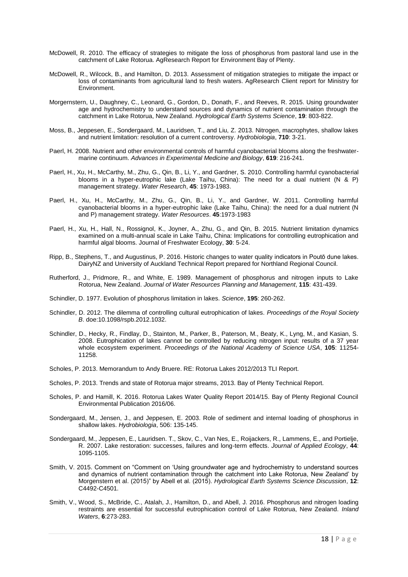- McDowell, R. 2010. The efficacy of strategies to mitigate the loss of phosphorus from pastoral land use in the catchment of Lake Rotorua. AgResearch Report for Environment Bay of Plenty.
- McDowell, R., Wilcock, B., and Hamilton, D. 2013. Assessment of mitigation strategies to mitigate the impact or loss of contaminants from agricultural land to fresh waters. AgResearch Client report for Ministry for Environment.
- Morgernstern, U., Daughney, C., Leonard, G., Gordon, D., Donath, F., and Reeves, R. 2015. Using groundwater age and hydrochemistry to understand sources and dynamics of nutrient contamination through the catchment in Lake Rotorua, New Zealand. *Hydrological Earth Systems Science*, **19**: 803-822.
- Moss, B., Jeppesen, E., Sondergaard, M., Lauridsen, T., and Liu, Z. 2013. Nitrogen, macrophytes, shallow lakes and nutrient limitation: resolution of a current controversy. *Hydrobiologia*, **710**: 3-21.
- Paerl, H. 2008. Nutrient and other environmental controls of harmful cyanobacterial blooms along the freshwatermarine continuum. *Advances in Experimental Medicine and Biology*, **619**: 216-241.
- Paerl, H., Xu, H., McCarthy, M., Zhu, G., Qin, B., Li, Y., and Gardner, S. 2010. Controlling harmful cyanobacterial blooms in a hyper-eutrophic lake (Lake Taihu, China): The need for a dual nutrient (N & P) management strategy. *Water Research*, **45**: 1973-1983.
- Paerl, H., Xu, H., McCarthy, M., Zhu, G., Qin, B., Li, Y., and Gardner, W. 2011. Controlling harmful cyanobacterial blooms in a hyper-eutrophic lake (Lake Taihu, China): the need for a dual nutrient (N and P) management strategy. *Water Resources*. **45**:1973-1983
- Paerl, H., Xu, H., Hall, N., Rossignol, K., Joyner, A., Zhu, G., and Qin, B. 2015. Nutrient limitation dynamics examined on a multi-annual scale in Lake Taihu, China: Implications for controlling eutrophication and harmful algal blooms. Journal of Freshwater Ecology, **30**: 5-24.
- Ripp, B., Stephens, T., and Augustinus, P. 2016. Historic changes to water quality indicators in Poutō dune lakes. DairyNZ and University of Auckland Technical Report prepared for Northland Regional Council.
- Rutherford, J., Pridmore, R., and White, E. 1989. Management of phosphorus and nitrogen inputs to Lake Rotorua, New Zealand. *Journal of Water Resources Planning and Management*, **115**: 431-439.
- Schindler, D. 1977. Evolution of phosphorus limitation in lakes. *Science*, **195**: 260-262.
- Schindler, D. 2012. The dilemma of controlling cultural eutrophication of lakes. *Proceedings of the Royal Society B*. doe:10.1098/rspb.2012.1032.
- Schindler, D., Hecky, R., Findlay, D., Stainton, M., Parker, B., Paterson, M., Beaty, K., Lyng, M., and Kasian, S. 2008. Eutrophication of lakes cannot be controlled by reducing nitrogen input: results of a 37 year whole ecosystem experiment. *Proceedings of the National Academy of Science USA*, **105**: 11254- 11258.
- Scholes, P. 2013. Memorandum to Andy Bruere. RE: Rotorua Lakes 2012/2013 TLI Report.
- Scholes, P. 2013. Trends and state of Rotorua major streams, 2013. Bay of Plenty Technical Report.
- Scholes, P. and Hamill, K. 2016. Rotorua Lakes Water Quality Report 2014/15. Bay of Plenty Regional Council Environmental Publication 2016/06.
- Sondergaard, M., Jensen, J., and Jeppesen, E. 2003. Role of sediment and internal loading of phosphorus in shallow lakes. *Hydrobiologia*, 506: 135-145.
- Sondergaard, M., Jeppesen, E., Lauridsen. T., Skov, C., Van Nes, E., Roijackers, R., Lammens, E., and Portielje, R. 2007. Lake restoration: successes, failures and long-term effects. *Journal of Applied Ecology*, **44**: 1095-1105.
- Smith, V. 2015. Comment on "Comment on 'Using groundwater age and hydrochemistry to understand sources and dynamics of nutrient contamination through the catchment into Lake Rotorua, New Zealand' by Morgenstern et al. (2015)" by Abell et al. (2015). *Hydrological Earth Systems Science Discussion*, **12**: C4492-C4501.
- Smith, V., Wood, S., McBride, C., Atalah, J., Hamilton, D., and Abell, J. 2016. Phosphorus and nitrogen loading restraints are essential for successful eutrophication control of Lake Rotorua, New Zealand. *Inland Waters*, **6**:273-283.